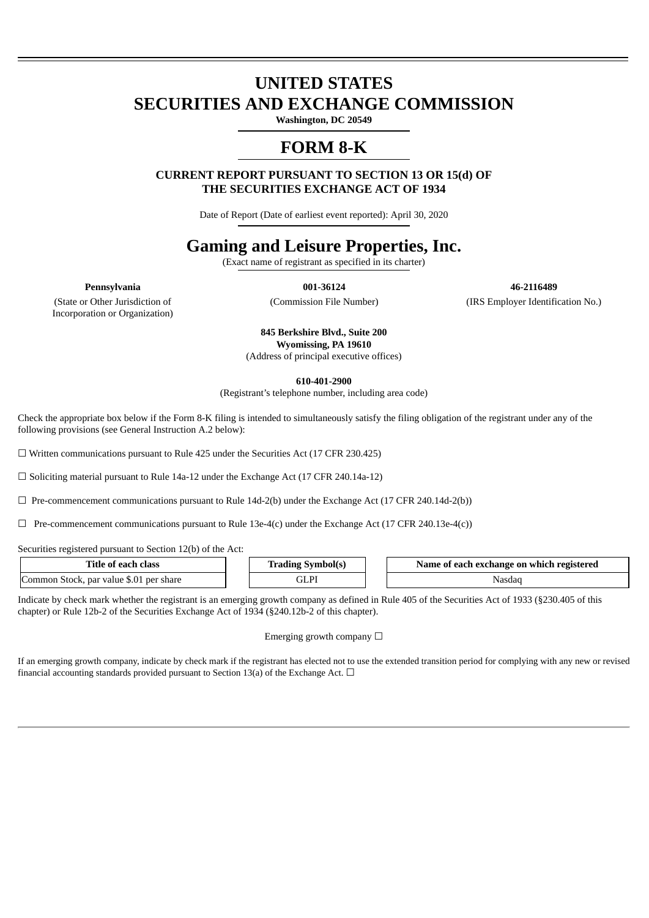# **UNITED STATES SECURITIES AND EXCHANGE COMMISSION**

**Washington, DC 20549**

# **FORM 8-K**

**CURRENT REPORT PURSUANT TO SECTION 13 OR 15(d) OF THE SECURITIES EXCHANGE ACT OF 1934**

Date of Report (Date of earliest event reported): April 30, 2020

# **Gaming and Leisure Properties, Inc.**

(Exact name of registrant as specified in its charter)

**Pennsylvania 001-36124 46-2116489**

(State or Other Jurisdiction of Incorporation or Organization)

(Commission File Number) (IRS Employer Identification No.)

**845 Berkshire Blvd., Suite 200 Wyomissing, PA 19610** (Address of principal executive offices)

**610-401-2900**

(Registrant's telephone number, including area code)

Check the appropriate box below if the Form 8-K filing is intended to simultaneously satisfy the filing obligation of the registrant under any of the following provisions (see General Instruction A.2 below):

☐ Written communications pursuant to Rule 425 under the Securities Act (17 CFR 230.425)

 $\Box$  Soliciting material pursuant to Rule 14a-12 under the Exchange Act (17 CFR 240.14a-12)

 $\Box$  Pre-commencement communications pursuant to Rule 14d-2(b) under the Exchange Act (17 CFR 240.14d-2(b))

 $\Box$  Pre-commencement communications pursuant to Rule 13e-4(c) under the Exchange Act (17 CFR 240.13e-4(c))

Securities registered pursuant to Section 12(b) of the Act:

| Title of each class                     | - Trading Symbol(s) | Name of each exchange on which registered |
|-----------------------------------------|---------------------|-------------------------------------------|
| Common Stock, par value \$.01 per share | $\cap$ T DT<br>エレド  | 'Nasdac                                   |

Indicate by check mark whether the registrant is an emerging growth company as defined in Rule 405 of the Securities Act of 1933 (§230.405 of this chapter) or Rule 12b-2 of the Securities Exchange Act of 1934 (§240.12b-2 of this chapter).

Emerging growth company  $\Box$ 

If an emerging growth company, indicate by check mark if the registrant has elected not to use the extended transition period for complying with any new or revised financial accounting standards provided pursuant to Section 13(a) of the Exchange Act.  $\Box$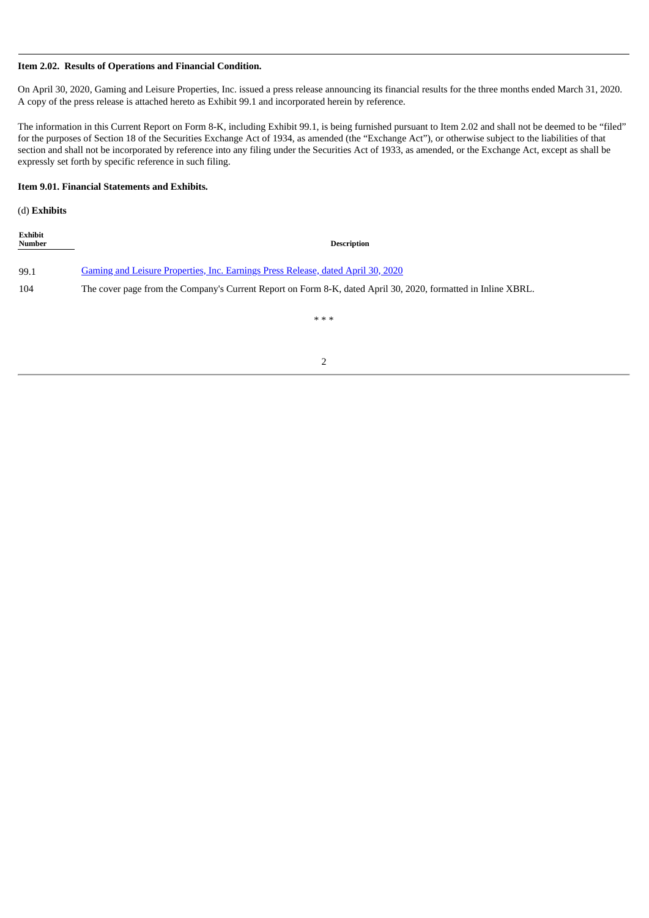#### **Item 2.02. Results of Operations and Financial Condition.**

On April 30, 2020, Gaming and Leisure Properties, Inc. issued a press release announcing its financial results for the three months ended March 31, 2020. A copy of the press release is attached hereto as Exhibit 99.1 and incorporated herein by reference.

The information in this Current Report on Form 8-K, including Exhibit 99.1, is being furnished pursuant to Item 2.02 and shall not be deemed to be "filed" for the purposes of Section 18 of the Securities Exchange Act of 1934, as amended (the "Exchange Act"), or otherwise subject to the liabilities of that section and shall not be incorporated by reference into any filing under the Securities Act of 1933, as amended, or the Exchange Act, except as shall be expressly set forth by specific reference in such filing.

# **Item 9.01. Financial Statements and Exhibits.**

(d) **Exhibits**

| Exhibit<br><b>Number</b> | <b>Description</b>                                                                                            |
|--------------------------|---------------------------------------------------------------------------------------------------------------|
| 99.1                     | <u>Gaming and Leisure Properties, Inc. Earnings Press Release, dated April 30, 2020</u>                       |
| 104                      | The cover page from the Company's Current Report on Form 8-K, dated April 30, 2020, formatted in Inline XBRL. |
|                          | * * *                                                                                                         |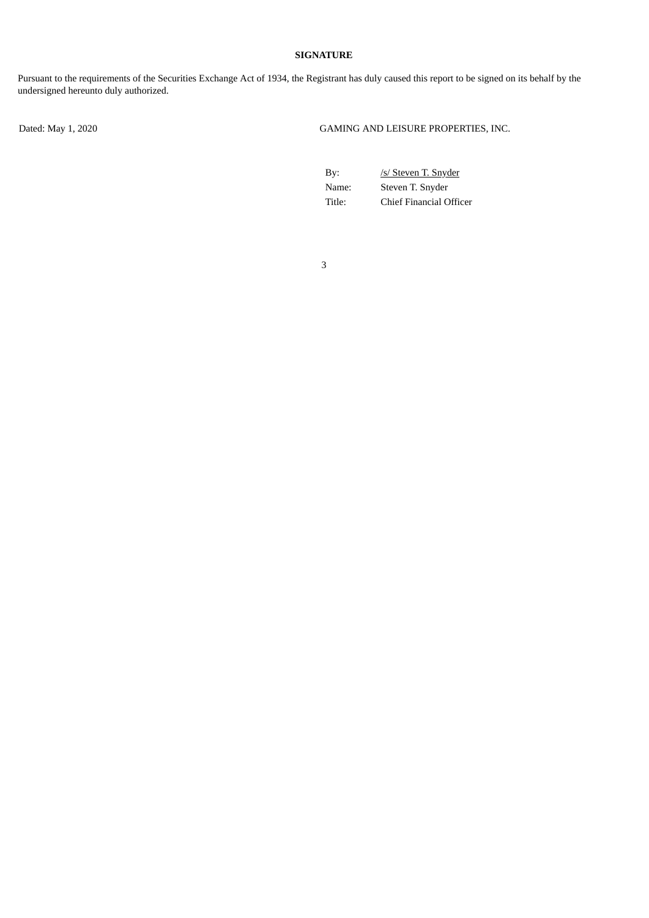# **SIGNATURE**

Pursuant to the requirements of the Securities Exchange Act of 1934, the Registrant has duly caused this report to be signed on its behalf by the undersigned hereunto duly authorized.

Dated: May 1, 2020 GAMING AND LEISURE PROPERTIES, INC.

| By:    | /s/ Steven T. Snyder    |
|--------|-------------------------|
| Name:  | Steven T. Snyder        |
| Title: | Chief Financial Officer |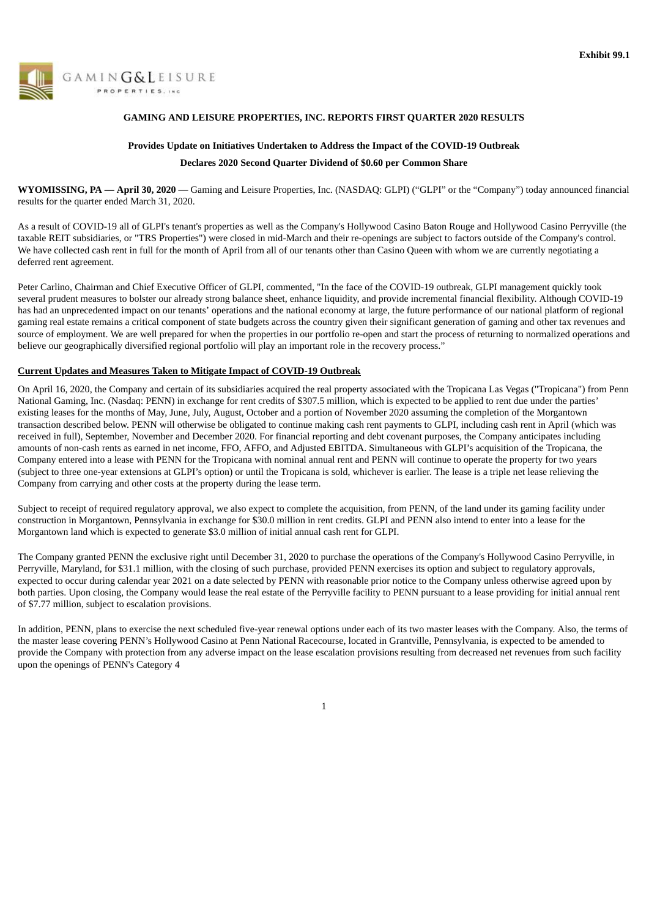<span id="page-3-0"></span>

# **GAMING AND LEISURE PROPERTIES, INC. REPORTS FIRST QUARTER 2020 RESULTS**

# **Provides Update on Initiatives Undertaken to Address the Impact of the COVID-19 Outbreak Declares 2020 Second Quarter Dividend of \$0.60 per Common Share**

**WYOMISSING, PA — April 30, 2020** — Gaming and Leisure Properties, Inc. (NASDAQ: GLPI) ("GLPI" or the "Company") today announced financial results for the quarter ended March 31, 2020.

As a result of COVID-19 all of GLPI's tenant's properties as well as the Company's Hollywood Casino Baton Rouge and Hollywood Casino Perryville (the taxable REIT subsidiaries, or "TRS Properties") were closed in mid-March and their re-openings are subject to factors outside of the Company's control. We have collected cash rent in full for the month of April from all of our tenants other than Casino Queen with whom we are currently negotiating a deferred rent agreement.

Peter Carlino, Chairman and Chief Executive Officer of GLPI, commented, "In the face of the COVID-19 outbreak, GLPI management quickly took several prudent measures to bolster our already strong balance sheet, enhance liquidity, and provide incremental financial flexibility. Although COVID-19 has had an unprecedented impact on our tenants' operations and the national economy at large, the future performance of our national platform of regional gaming real estate remains a critical component of state budgets across the country given their significant generation of gaming and other tax revenues and source of employment. We are well prepared for when the properties in our portfolio re-open and start the process of returning to normalized operations and believe our geographically diversified regional portfolio will play an important role in the recovery process."

#### **Current Updates and Measures Taken to Mitigate Impact of COVID-19 Outbreak**

On April 16, 2020, the Company and certain of its subsidiaries acquired the real property associated with the Tropicana Las Vegas ("Tropicana") from Penn National Gaming, Inc. (Nasdaq: PENN) in exchange for rent credits of \$307.5 million, which is expected to be applied to rent due under the parties' existing leases for the months of May, June, July, August, October and a portion of November 2020 assuming the completion of the Morgantown transaction described below. PENN will otherwise be obligated to continue making cash rent payments to GLPI, including cash rent in April (which was received in full), September, November and December 2020. For financial reporting and debt covenant purposes, the Company anticipates including amounts of non-cash rents as earned in net income, FFO, AFFO, and Adjusted EBITDA. Simultaneous with GLPI's acquisition of the Tropicana, the Company entered into a lease with PENN for the Tropicana with nominal annual rent and PENN will continue to operate the property for two years (subject to three one-year extensions at GLPI's option) or until the Tropicana is sold, whichever is earlier. The lease is a triple net lease relieving the Company from carrying and other costs at the property during the lease term.

Subject to receipt of required regulatory approval, we also expect to complete the acquisition, from PENN, of the land under its gaming facility under construction in Morgantown, Pennsylvania in exchange for \$30.0 million in rent credits. GLPI and PENN also intend to enter into a lease for the Morgantown land which is expected to generate \$3.0 million of initial annual cash rent for GLPI.

The Company granted PENN the exclusive right until December 31, 2020 to purchase the operations of the Company's Hollywood Casino Perryville, in Perryville, Maryland, for \$31.1 million, with the closing of such purchase, provided PENN exercises its option and subject to regulatory approvals, expected to occur during calendar year 2021 on a date selected by PENN with reasonable prior notice to the Company unless otherwise agreed upon by both parties. Upon closing, the Company would lease the real estate of the Perryville facility to PENN pursuant to a lease providing for initial annual rent of \$7.77 million, subject to escalation provisions.

In addition, PENN, plans to exercise the next scheduled five-year renewal options under each of its two master leases with the Company. Also, the terms of the master lease covering PENN's Hollywood Casino at Penn National Racecourse, located in Grantville, Pennsylvania, is expected to be amended to provide the Company with protection from any adverse impact on the lease escalation provisions resulting from decreased net revenues from such facility upon the openings of PENN's Category 4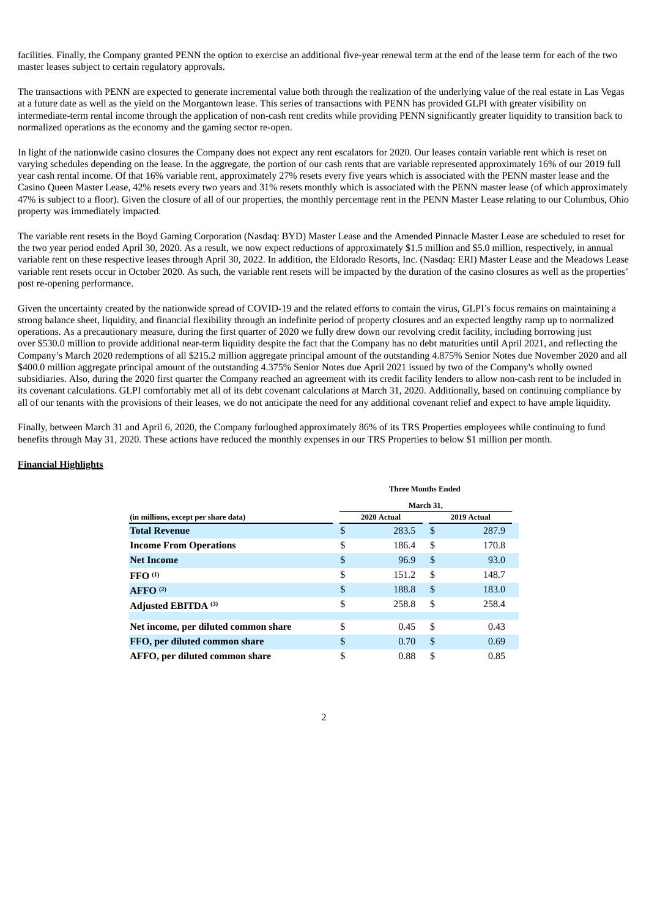facilities. Finally, the Company granted PENN the option to exercise an additional five-year renewal term at the end of the lease term for each of the two master leases subject to certain regulatory approvals.

The transactions with PENN are expected to generate incremental value both through the realization of the underlying value of the real estate in Las Vegas at a future date as well as the yield on the Morgantown lease. This series of transactions with PENN has provided GLPI with greater visibility on intermediate-term rental income through the application of non-cash rent credits while providing PENN significantly greater liquidity to transition back to normalized operations as the economy and the gaming sector re-open.

In light of the nationwide casino closures the Company does not expect any rent escalators for 2020. Our leases contain variable rent which is reset on varying schedules depending on the lease. In the aggregate, the portion of our cash rents that are variable represented approximately 16% of our 2019 full year cash rental income. Of that 16% variable rent, approximately 27% resets every five years which is associated with the PENN master lease and the Casino Queen Master Lease, 42% resets every two years and 31% resets monthly which is associated with the PENN master lease (of which approximately 47% is subject to a floor). Given the closure of all of our properties, the monthly percentage rent in the PENN Master Lease relating to our Columbus, Ohio property was immediately impacted.

The variable rent resets in the Boyd Gaming Corporation (Nasdaq: BYD) Master Lease and the Amended Pinnacle Master Lease are scheduled to reset for the two year period ended April 30, 2020. As a result, we now expect reductions of approximately \$1.5 million and \$5.0 million, respectively, in annual variable rent on these respective leases through April 30, 2022. In addition, the Eldorado Resorts, Inc. (Nasdaq: ERI) Master Lease and the Meadows Lease variable rent resets occur in October 2020. As such, the variable rent resets will be impacted by the duration of the casino closures as well as the properties' post re-opening performance.

Given the uncertainty created by the nationwide spread of COVID-19 and the related efforts to contain the virus, GLPI's focus remains on maintaining a strong balance sheet, liquidity, and financial flexibility through an indefinite period of property closures and an expected lengthy ramp up to normalized operations. As a precautionary measure, during the first quarter of 2020 we fully drew down our revolving credit facility, including borrowing just over \$530.0 million to provide additional near-term liquidity despite the fact that the Company has no debt maturities until April 2021, and reflecting the Company's March 2020 redemptions of all \$215.2 million aggregate principal amount of the outstanding 4.875% Senior Notes due November 2020 and all \$400.0 million aggregate principal amount of the outstanding 4.375% Senior Notes due April 2021 issued by two of the Company's wholly owned subsidiaries. Also, during the 2020 first quarter the Company reached an agreement with its credit facility lenders to allow non-cash rent to be included in its covenant calculations. GLPI comfortably met all of its debt covenant calculations at March 31, 2020. Additionally, based on continuing compliance by all of our tenants with the provisions of their leases, we do not anticipate the need for any additional covenant relief and expect to have ample liquidity.

Finally, between March 31 and April 6, 2020, the Company furloughed approximately 86% of its TRS Properties employees while continuing to fund benefits through May 31, 2020. These actions have reduced the monthly expenses in our TRS Properties to below \$1 million per month.

#### **Financial Highlights**

|                                      | <b>Three Months Ended</b> |             |    |             |  |  |  |  |
|--------------------------------------|---------------------------|-------------|----|-------------|--|--|--|--|
|                                      | March 31,                 |             |    |             |  |  |  |  |
| (in millions, except per share data) |                           | 2020 Actual |    | 2019 Actual |  |  |  |  |
| <b>Total Revenue</b>                 | \$                        | 283.5       | \$ | 287.9       |  |  |  |  |
| <b>Income From Operations</b>        | \$                        | 186.4       | \$ | 170.8       |  |  |  |  |
| <b>Net Income</b>                    | \$                        | 96.9        | \$ | 93.0        |  |  |  |  |
| FFO <sup>(1)</sup>                   | \$                        | 151.2       | \$ | 148.7       |  |  |  |  |
| AFFO <sup>(2)</sup>                  | \$                        | 188.8       | \$ | 183.0       |  |  |  |  |
| Adjusted EBITDA (3)                  | \$                        | 258.8       | \$ | 258.4       |  |  |  |  |
|                                      |                           |             |    |             |  |  |  |  |
| Net income, per diluted common share | \$                        | 0.45        | \$ | 0.43        |  |  |  |  |
| FFO, per diluted common share        | \$                        | 0.70        | \$ | 0.69        |  |  |  |  |
| AFFO, per diluted common share       | \$                        | 0.88        | \$ | 0.85        |  |  |  |  |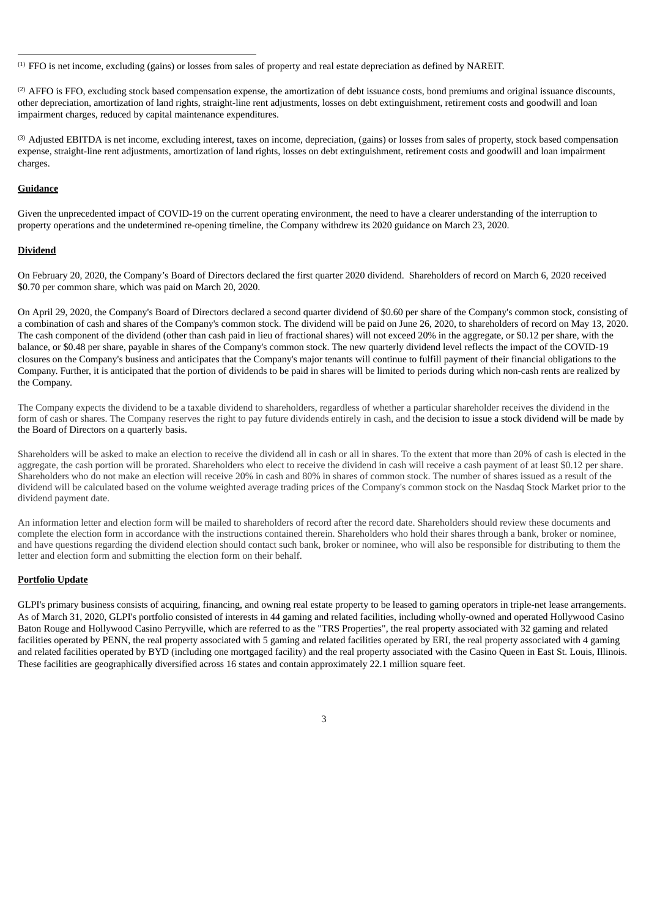(1) FFO is net income, excluding (gains) or losses from sales of property and real estate depreciation as defined by NAREIT.

(2) AFFO is FFO, excluding stock based compensation expense, the amortization of debt issuance costs, bond premiums and original issuance discounts, other depreciation, amortization of land rights, straight-line rent adjustments, losses on debt extinguishment, retirement costs and goodwill and loan impairment charges, reduced by capital maintenance expenditures.

(3) Adjusted EBITDA is net income, excluding interest, taxes on income, depreciation, (gains) or losses from sales of property, stock based compensation expense, straight-line rent adjustments, amortization of land rights, losses on debt extinguishment, retirement costs and goodwill and loan impairment charges.

# **Guidance**

Given the unprecedented impact of COVID-19 on the current operating environment, the need to have a clearer understanding of the interruption to property operations and the undetermined re-opening timeline, the Company withdrew its 2020 guidance on March 23, 2020.

#### **Dividend**

On February 20, 2020, the Company's Board of Directors declared the first quarter 2020 dividend. Shareholders of record on March 6, 2020 received \$0.70 per common share, which was paid on March 20, 2020.

On April 29, 2020, the Company's Board of Directors declared a second quarter dividend of \$0.60 per share of the Company's common stock, consisting of a combination of cash and shares of the Company's common stock. The dividend will be paid on June 26, 2020, to shareholders of record on May 13, 2020. The cash component of the dividend (other than cash paid in lieu of fractional shares) will not exceed 20% in the aggregate, or \$0.12 per share, with the balance, or \$0.48 per share, payable in shares of the Company's common stock. The new quarterly dividend level reflects the impact of the COVID-19 closures on the Company's business and anticipates that the Company's major tenants will continue to fulfill payment of their financial obligations to the Company. Further, it is anticipated that the portion of dividends to be paid in shares will be limited to periods during which non-cash rents are realized by the Company.

The Company expects the dividend to be a taxable dividend to shareholders, regardless of whether a particular shareholder receives the dividend in the form of cash or shares. The Company reserves the right to pay future dividends entirely in cash, and the decision to issue a stock dividend will be made by the Board of Directors on a quarterly basis.

Shareholders will be asked to make an election to receive the dividend all in cash or all in shares. To the extent that more than 20% of cash is elected in the aggregate, the cash portion will be prorated. Shareholders who elect to receive the dividend in cash will receive a cash payment of at least \$0.12 per share. Shareholders who do not make an election will receive 20% in cash and 80% in shares of common stock. The number of shares issued as a result of the dividend will be calculated based on the volume weighted average trading prices of the Company's common stock on the Nasdaq Stock Market prior to the dividend payment date.

An information letter and election form will be mailed to shareholders of record after the record date. Shareholders should review these documents and complete the election form in accordance with the instructions contained therein. Shareholders who hold their shares through a bank, broker or nominee, and have questions regarding the dividend election should contact such bank, broker or nominee, who will also be responsible for distributing to them the letter and election form and submitting the election form on their behalf.

# **Portfolio Update**

GLPI's primary business consists of acquiring, financing, and owning real estate property to be leased to gaming operators in triple-net lease arrangements. As of March 31, 2020, GLPI's portfolio consisted of interests in 44 gaming and related facilities, including wholly-owned and operated Hollywood Casino Baton Rouge and Hollywood Casino Perryville, which are referred to as the "TRS Properties", the real property associated with 32 gaming and related facilities operated by PENN, the real property associated with 5 gaming and related facilities operated by ERI, the real property associated with 4 gaming and related facilities operated by BYD (including one mortgaged facility) and the real property associated with the Casino Queen in East St. Louis, Illinois. These facilities are geographically diversified across 16 states and contain approximately 22.1 million square feet.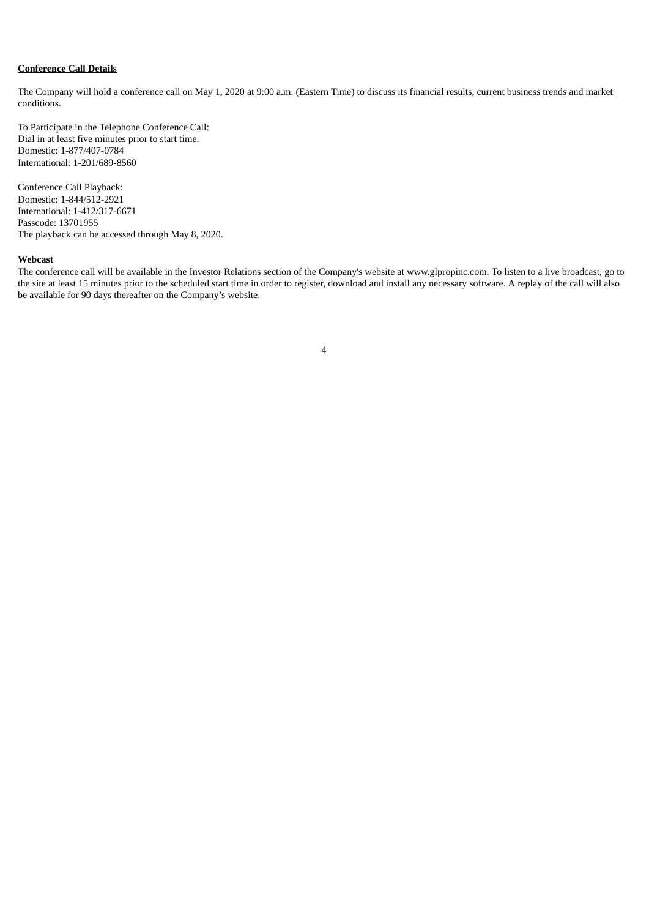# **Conference Call Details**

The Company will hold a conference call on May 1, 2020 at 9:00 a.m. (Eastern Time) to discuss its financial results, current business trends and market conditions.

To Participate in the Telephone Conference Call: Dial in at least five minutes prior to start time. Domestic: 1-877/407-0784 International: 1-201/689-8560

Conference Call Playback: Domestic: 1-844/512-2921 International: 1-412/317-6671 Passcode: 13701955 The playback can be accessed through May 8, 2020.

#### **Webcast**

The conference call will be available in the Investor Relations section of the Company's website at www.glpropinc.com. To listen to a live broadcast, go to the site at least 15 minutes prior to the scheduled start time in order to register, download and install any necessary software. A replay of the call will also be available for 90 days thereafter on the Company's website.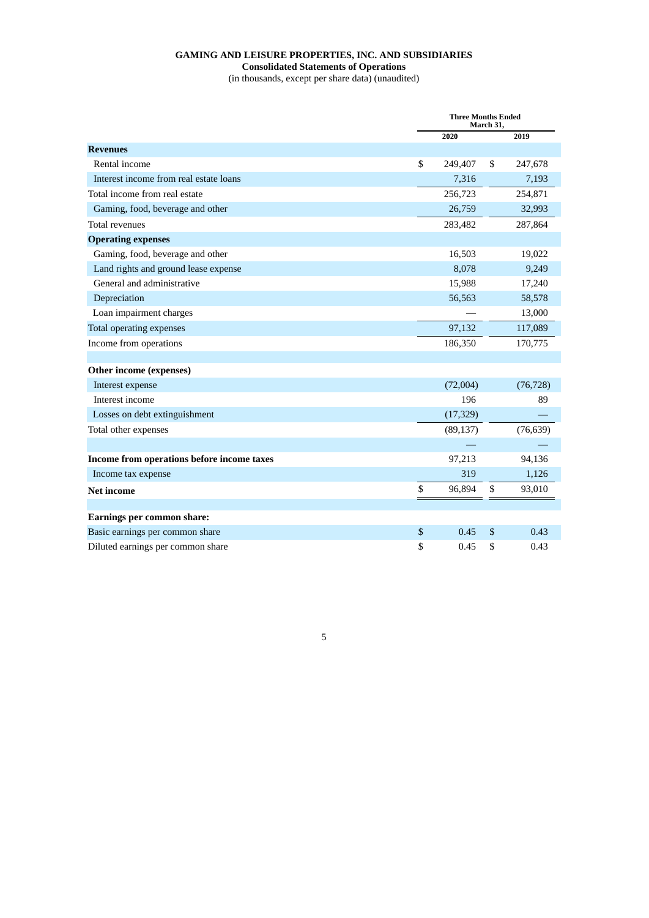# **GAMING AND LEISURE PROPERTIES, INC. AND SUBSIDIARIES Consolidated Statements of Operations**

(in thousands, except per share data) (unaudited)

|                                            | <b>Three Months Ended</b><br>March 31, |    |           |  |  |
|--------------------------------------------|----------------------------------------|----|-----------|--|--|
|                                            | 2020                                   |    | 2019      |  |  |
| <b>Revenues</b>                            |                                        |    |           |  |  |
| Rental income                              | \$<br>249,407                          | \$ | 247,678   |  |  |
| Interest income from real estate loans     | 7,316                                  |    | 7,193     |  |  |
| Total income from real estate              | 256,723                                |    | 254,871   |  |  |
| Gaming, food, beverage and other           | 26,759                                 |    | 32,993    |  |  |
| <b>Total revenues</b>                      | 283,482                                |    | 287,864   |  |  |
| <b>Operating expenses</b>                  |                                        |    |           |  |  |
| Gaming, food, beverage and other           | 16,503                                 |    | 19,022    |  |  |
| Land rights and ground lease expense       | 8,078                                  |    | 9,249     |  |  |
| General and administrative                 | 15,988                                 |    | 17,240    |  |  |
| Depreciation                               | 56,563                                 |    | 58,578    |  |  |
| Loan impairment charges                    |                                        |    | 13,000    |  |  |
| Total operating expenses                   | 97,132                                 |    | 117,089   |  |  |
| Income from operations                     | 186,350                                |    | 170,775   |  |  |
|                                            |                                        |    |           |  |  |
| Other income (expenses)                    |                                        |    |           |  |  |
| Interest expense                           | (72,004)                               |    | (76, 728) |  |  |
| Interest income                            | 196                                    |    | 89        |  |  |
| Losses on debt extinguishment              | (17, 329)                              |    |           |  |  |
| Total other expenses                       | (89, 137)                              |    | (76, 639) |  |  |
|                                            |                                        |    |           |  |  |
| Income from operations before income taxes | 97,213                                 |    | 94,136    |  |  |
| Income tax expense                         | 319                                    |    | 1,126     |  |  |
| <b>Net income</b>                          | \$<br>96,894                           | \$ | 93,010    |  |  |
|                                            |                                        |    |           |  |  |
| Earnings per common share:                 |                                        |    |           |  |  |
| Basic earnings per common share            | \$<br>0.45                             | \$ | 0.43      |  |  |
| Diluted earnings per common share          | \$<br>0.45                             | \$ | 0.43      |  |  |

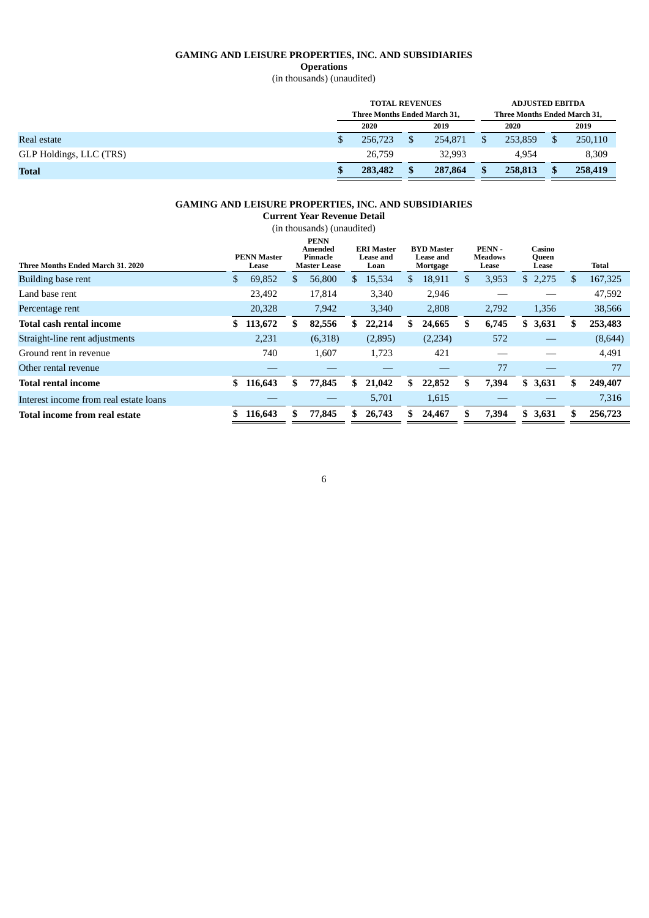# **GAMING AND LEISURE PROPERTIES, INC. AND SUBSIDIARIES**

**Operations**

(in thousands) (unaudited)

|                         | <b>TOTAL REVENUES</b>        |  |         |    | <b>ADJUSTED EBITDA</b>       |  |         |  |
|-------------------------|------------------------------|--|---------|----|------------------------------|--|---------|--|
|                         | Three Months Ended March 31, |  |         |    | Three Months Ended March 31, |  |         |  |
|                         | 2020                         |  | 2019    |    | 2020                         |  | 2019    |  |
| Real estate             | 256,723                      |  | 254.871 | S  | 253.859                      |  | 250,110 |  |
| GLP Holdings, LLC (TRS) | 26,759                       |  | 32.993  |    | 4.954                        |  | 8,309   |  |
| <b>Total</b>            | 283,482                      |  | 287,864 | S. | 258,813                      |  | 258,419 |  |

## **GAMING AND LEISURE PROPERTIES, INC. AND SUBSIDIARIES**

**Current Year Revenue Detail** (in thousands) (unaudited) **Three Months Ended March 31. 2020 PENN Master Lease PENN Amended Pinnacle Master Lease ERI Master Lease and Loan BYD Master Lease and Mortgage PENN - Meadows Lease Casino Queen Lease Total** Building base rent \$ 69,852 \$ 56,800 \$ 15,534 \$ 18,911 \$ 3,953 \$ 2,275 \$ 167,325 Land base rent 23,492 17,814 3,340 2,946 — — 47,592 Percentage rent 20,328 7,942 3,340 2,808 2,792 1,356 38,566 **Total cash rental income \$ 113,672 \$ 82,556 \$ 22,214 \$ 24,665 \$ 6,745 \$ 3,631 \$ 253,483** Straight-line rent adjustments 2,231 (6,318) (2,895) (2,234) 572 - (8,644) Ground rent in revenue  $\begin{array}{cccc} 740 & 1,607 & 1,723 & 421 & - & - & 4,491 \end{array}$ Other rental revenue  $\qquad \qquad \qquad \qquad \qquad \qquad \qquad \qquad 77$   $\qquad \qquad \qquad \qquad$  77 **Total rental income \$ 116,643 \$ 77,845 \$ 21,042 \$ 22,852 \$ 7,394 \$ 3,631 \$ 249,407** Interest income from real estate loans — — 5,701 1,615 — 7,316 Total income from real estate <br>
S 116,643 <br>
S 77,845 <br>
S 26,743 <br>
S 24,467 <br>
S 7,394 <br>
S 3,631 <br>
S 256,723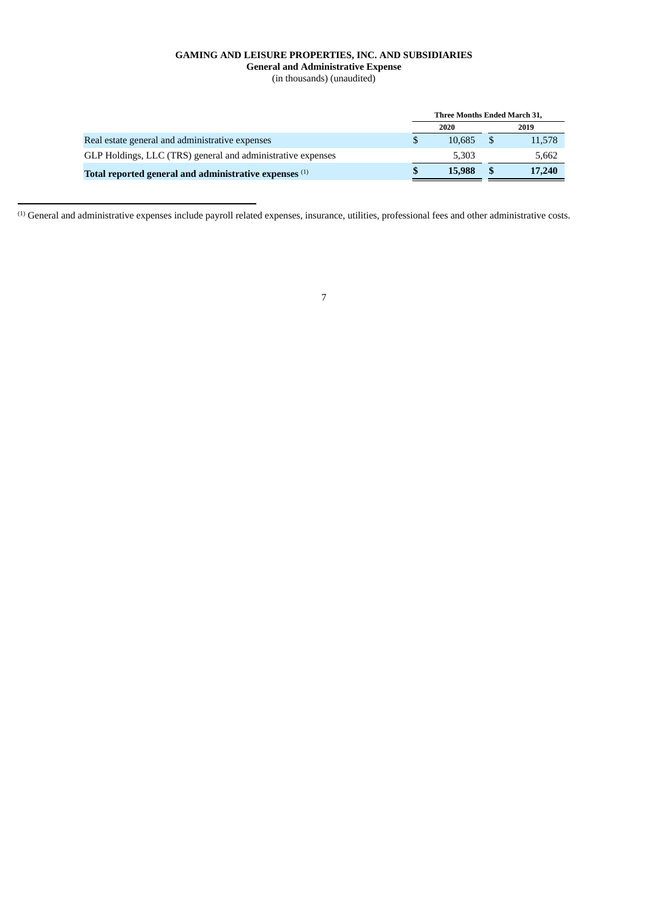# **GAMING AND LEISURE PROPERTIES, INC. AND SUBSIDIARIES General and Administrative Expense** (in thousands) (unaudited)

|                                                             | Three Months Ended March 31, |        |    |        |
|-------------------------------------------------------------|------------------------------|--------|----|--------|
|                                                             |                              | 2020   |    | 2019   |
| Real estate general and administrative expenses             |                              | 10.685 | -S | 11,578 |
| GLP Holdings, LLC (TRS) general and administrative expenses |                              | 5.303  |    | 5.662  |
| Total reported general and administrative expenses (1)      |                              | 15,988 |    | 17,240 |

(1) General and administrative expenses include payroll related expenses, insurance, utilities, professional fees and other administrative costs.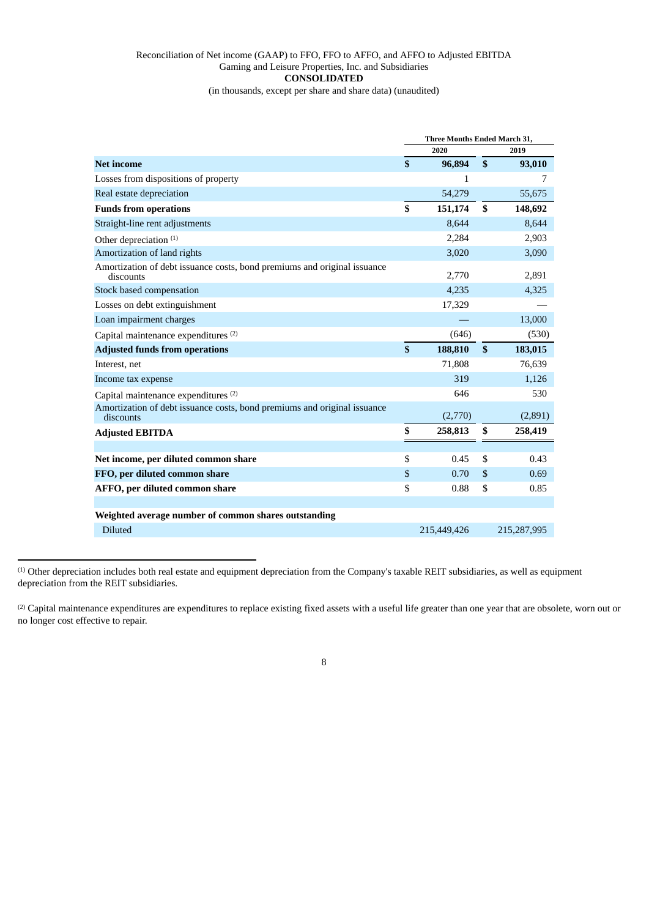# Reconciliation of Net income (GAAP) to FFO, FFO to AFFO, and AFFO to Adjusted EBITDA Gaming and Leisure Properties, Inc. and Subsidiaries **CONSOLIDATED**

(in thousands, except per share and share data) (unaudited)

|                                                                                       | <b>Three Months Ended March 31,</b> |             |              |             |  |
|---------------------------------------------------------------------------------------|-------------------------------------|-------------|--------------|-------------|--|
|                                                                                       |                                     | 2020        | 2019         |             |  |
| <b>Net income</b>                                                                     | $\mathbf{s}$                        | 96,894      | $\mathbf{s}$ | 93,010      |  |
| Losses from dispositions of property                                                  |                                     | 1           |              | 7           |  |
| Real estate depreciation                                                              |                                     | 54,279      |              | 55,675      |  |
| <b>Funds from operations</b>                                                          | \$                                  | 151,174     | \$           | 148,692     |  |
| Straight-line rent adjustments                                                        |                                     | 8,644       |              | 8,644       |  |
| Other depreciation <sup>(1)</sup>                                                     |                                     | 2,284       |              | 2,903       |  |
| Amortization of land rights                                                           |                                     | 3,020       |              | 3,090       |  |
| Amortization of debt issuance costs, bond premiums and original issuance<br>discounts |                                     | 2,770       |              | 2,891       |  |
| Stock based compensation                                                              |                                     | 4,235       |              | 4,325       |  |
| Losses on debt extinguishment                                                         |                                     | 17,329      |              |             |  |
| Loan impairment charges                                                               |                                     |             |              | 13,000      |  |
| Capital maintenance expenditures <sup>(2)</sup>                                       |                                     | (646)       |              | (530)       |  |
| <b>Adjusted funds from operations</b>                                                 | \$                                  | 188,810     | \$           | 183,015     |  |
| Interest, net                                                                         |                                     | 71,808      |              | 76,639      |  |
| Income tax expense                                                                    |                                     | 319         |              | 1,126       |  |
| Capital maintenance expenditures (2)                                                  |                                     | 646         |              | 530         |  |
| Amortization of debt issuance costs, bond premiums and original issuance<br>discounts |                                     | (2,770)     |              | (2,891)     |  |
| <b>Adjusted EBITDA</b>                                                                | \$                                  | 258,813     | \$           | 258,419     |  |
|                                                                                       |                                     |             |              |             |  |
| Net income, per diluted common share                                                  | \$                                  | 0.45        | \$           | 0.43        |  |
| FFO, per diluted common share                                                         | \$                                  | 0.70        | \$           | 0.69        |  |
| AFFO, per diluted common share                                                        | \$                                  | 0.88        | \$           | 0.85        |  |
|                                                                                       |                                     |             |              |             |  |
| Weighted average number of common shares outstanding                                  |                                     |             |              |             |  |
| <b>Diluted</b>                                                                        |                                     | 215,449,426 |              | 215,287,995 |  |

(1) Other depreciation includes both real estate and equipment depreciation from the Company's taxable REIT subsidiaries, as well as equipment depreciation from the REIT subsidiaries.

<sup>(2)</sup> Capital maintenance expenditures are expenditures to replace existing fixed assets with a useful life greater than one year that are obsolete, worn out or no longer cost effective to repair.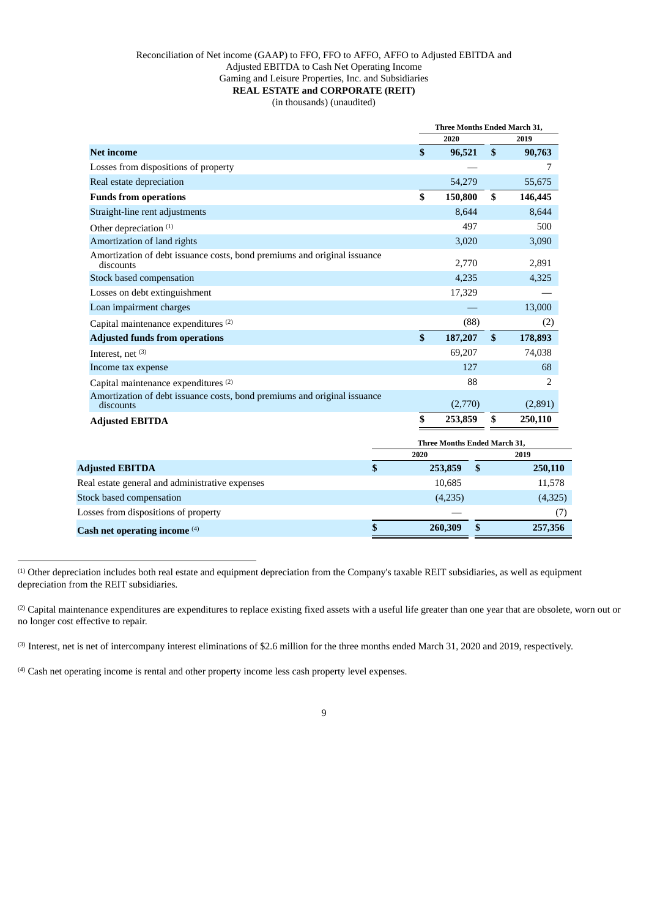# Reconciliation of Net income (GAAP) to FFO, FFO to AFFO, AFFO to Adjusted EBITDA and Adjusted EBITDA to Cash Net Operating Income Gaming and Leisure Properties, Inc. and Subsidiaries **REAL ESTATE and CORPORATE (REIT)** (in thousands) (unaudited)

|                                                                                       |               | Three Months Ended March 31, |              |         |  |  |
|---------------------------------------------------------------------------------------|---------------|------------------------------|--------------|---------|--|--|
|                                                                                       |               | 2020                         |              | 2019    |  |  |
| <b>Net income</b>                                                                     | \$            | 96,521                       | $\mathbf{s}$ | 90,763  |  |  |
| Losses from dispositions of property                                                  |               |                              |              | 7       |  |  |
| Real estate depreciation                                                              |               | 54,279                       |              | 55,675  |  |  |
| <b>Funds from operations</b>                                                          | \$            | 150,800                      | \$           | 146,445 |  |  |
| Straight-line rent adjustments                                                        |               | 8,644                        |              | 8,644   |  |  |
| Other depreciation <sup>(1)</sup>                                                     |               | 497                          |              | 500     |  |  |
| Amortization of land rights                                                           |               | 3,020                        |              | 3,090   |  |  |
| Amortization of debt issuance costs, bond premiums and original issuance<br>discounts |               | 2,770                        |              | 2,891   |  |  |
| Stock based compensation                                                              |               | 4,235                        |              | 4,325   |  |  |
| Losses on debt extinguishment                                                         |               | 17,329                       |              |         |  |  |
| Loan impairment charges                                                               |               |                              |              | 13,000  |  |  |
| Capital maintenance expenditures <sup>(2)</sup>                                       |               | (88)                         |              | (2)     |  |  |
| <b>Adjusted funds from operations</b>                                                 | $\mathbf{\$}$ | 187,207                      | $\mathbf{s}$ | 178,893 |  |  |
| Interest, net $(3)$                                                                   |               | 69,207                       |              | 74,038  |  |  |
| Income tax expense                                                                    |               | 127                          |              | 68      |  |  |
| Capital maintenance expenditures (2)                                                  |               | 88                           |              | 2       |  |  |
| Amortization of debt issuance costs, bond premiums and original issuance<br>discounts |               | (2,770)                      |              | (2,891) |  |  |
| <b>Adjusted EBITDA</b>                                                                | \$            | 253,859                      | \$           | 250,110 |  |  |
|                                                                                       |               | Three Months Ended March 31, |              |         |  |  |
|                                                                                       | 2020          |                              |              | 2019    |  |  |
| \$<br><b>Adjusted EBITDA</b>                                                          |               | \$<br>253,859                |              | 250,110 |  |  |

| Cash net operating income $(4)$                 | 260,309 | 257,356 |
|-------------------------------------------------|---------|---------|
| Losses from dispositions of property            |         |         |
| Stock based compensation                        | (4,235) | (4,325) |
| Real estate general and administrative expenses | 10,685  | 11,578  |
| Adjusted EBITDA                                 | 253,859 | 250,110 |

(1) Other depreciation includes both real estate and equipment depreciation from the Company's taxable REIT subsidiaries, as well as equipment depreciation from the REIT subsidiaries.

<sup>(2)</sup> Capital maintenance expenditures are expenditures to replace existing fixed assets with a useful life greater than one year that are obsolete, worn out or no longer cost effective to repair.

(3) Interest, net is net of intercompany interest eliminations of \$2.6 million for the three months ended March 31, 2020 and 2019, respectively.

(4) Cash net operating income is rental and other property income less cash property level expenses.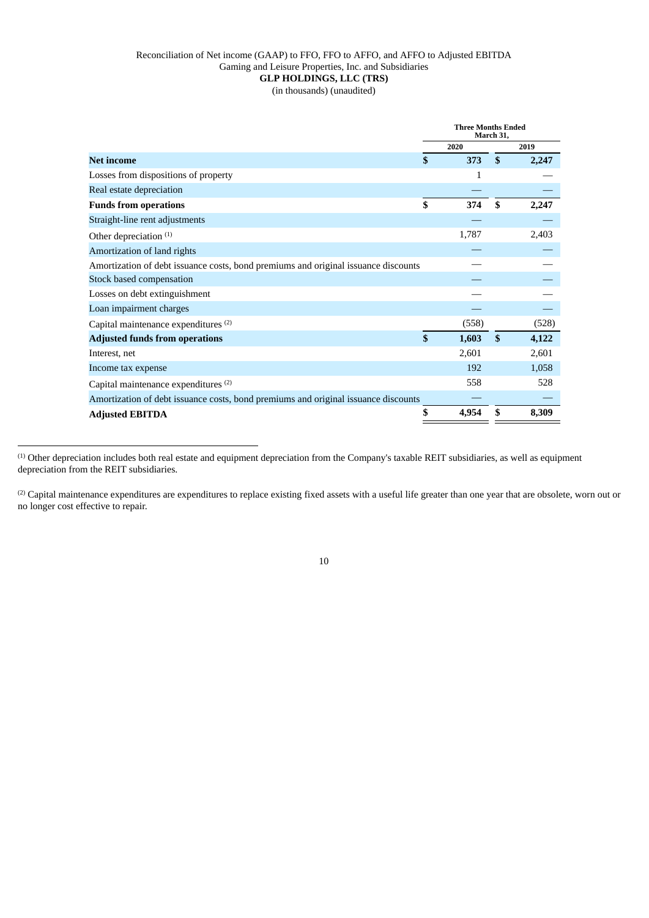# Reconciliation of Net income (GAAP) to FFO, FFO to AFFO, and AFFO to Adjusted EBITDA Gaming and Leisure Properties, Inc. and Subsidiaries **GLP HOLDINGS, LLC (TRS)**

(in thousands) (unaudited)

|                                                                                    |              | <b>Three Months Ended</b><br>March 31. |              |       |
|------------------------------------------------------------------------------------|--------------|----------------------------------------|--------------|-------|
|                                                                                    |              | 2020                                   |              | 2019  |
| <b>Net income</b>                                                                  | \$           | 373                                    | \$           | 2,247 |
| Losses from dispositions of property                                               |              | 1                                      |              |       |
| Real estate depreciation                                                           |              |                                        |              |       |
| <b>Funds from operations</b>                                                       | \$           | 374                                    | \$           | 2,247 |
| Straight-line rent adjustments                                                     |              |                                        |              |       |
| Other depreciation <sup>(1)</sup>                                                  |              | 1,787                                  |              | 2,403 |
| Amortization of land rights                                                        |              |                                        |              |       |
| Amortization of debt issuance costs, bond premiums and original issuance discounts |              |                                        |              |       |
| Stock based compensation                                                           |              |                                        |              |       |
| Losses on debt extinguishment                                                      |              |                                        |              |       |
| Loan impairment charges                                                            |              |                                        |              |       |
| Capital maintenance expenditures <sup>(2)</sup>                                    |              | (558)                                  |              | (528) |
| <b>Adjusted funds from operations</b>                                              | $\mathbf{s}$ | 1,603                                  | $\mathbf{s}$ | 4,122 |
| Interest, net                                                                      |              | 2,601                                  |              | 2,601 |
| Income tax expense                                                                 |              | 192                                    |              | 1,058 |
| Capital maintenance expenditures (2)                                               |              | 558                                    |              | 528   |
| Amortization of debt issuance costs, bond premiums and original issuance discounts |              |                                        |              |       |
| <b>Adjusted EBITDA</b>                                                             | \$           | 4,954                                  |              | 8,309 |
|                                                                                    |              |                                        |              |       |

(1) Other depreciation includes both real estate and equipment depreciation from the Company's taxable REIT subsidiaries, as well as equipment depreciation from the REIT subsidiaries.

<sup>(2)</sup> Capital maintenance expenditures are expenditures to replace existing fixed assets with a useful life greater than one year that are obsolete, worn out or no longer cost effective to repair.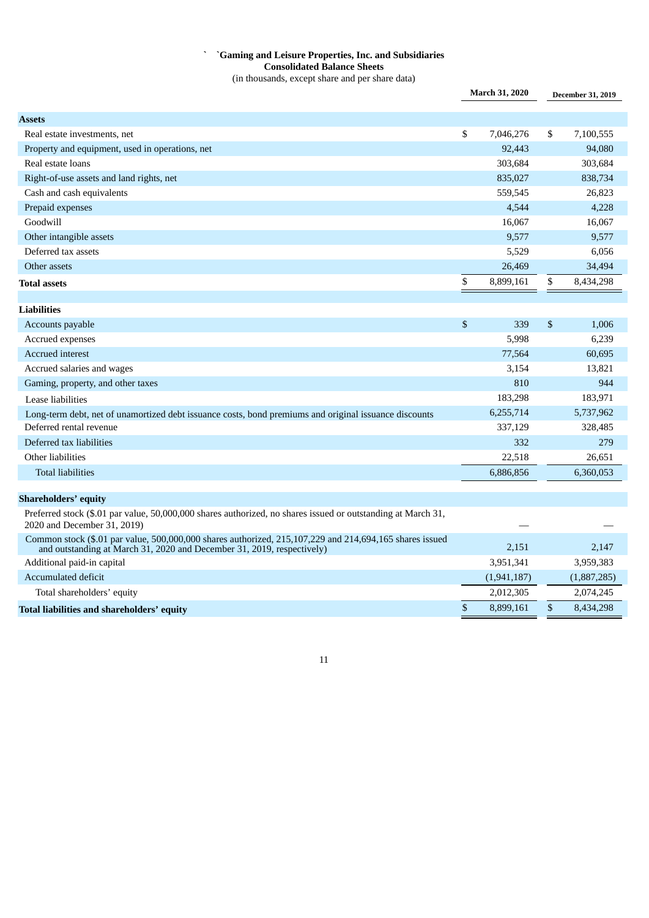# **` `Gaming and Leisure Properties, Inc. and Subsidiaries Consolidated Balance Sheets** (in thousands, except share and per share data)

|                                                                                                                                                                                   |              | <b>March 31, 2020</b> |    | <b>December 31, 2019</b> |
|-----------------------------------------------------------------------------------------------------------------------------------------------------------------------------------|--------------|-----------------------|----|--------------------------|
| <b>Assets</b>                                                                                                                                                                     |              |                       |    |                          |
| Real estate investments, net                                                                                                                                                      | \$           | 7,046,276             | \$ | 7,100,555                |
| Property and equipment, used in operations, net                                                                                                                                   |              | 92,443                |    | 94,080                   |
| Real estate loans                                                                                                                                                                 |              | 303,684               |    | 303,684                  |
| Right-of-use assets and land rights, net                                                                                                                                          |              | 835,027               |    | 838,734                  |
| Cash and cash equivalents                                                                                                                                                         |              | 559,545               |    | 26,823                   |
| Prepaid expenses                                                                                                                                                                  |              | 4,544                 |    | 4,228                    |
| Goodwill                                                                                                                                                                          |              | 16,067                |    | 16,067                   |
| Other intangible assets                                                                                                                                                           |              | 9,577                 |    | 9,577                    |
| Deferred tax assets                                                                                                                                                               |              | 5,529                 |    | 6,056                    |
| Other assets                                                                                                                                                                      |              | 26,469                |    | 34,494                   |
| <b>Total assets</b>                                                                                                                                                               | \$           | 8,899,161             | \$ | 8,434,298                |
|                                                                                                                                                                                   |              |                       |    |                          |
| <b>Liabilities</b>                                                                                                                                                                |              |                       |    |                          |
| Accounts payable                                                                                                                                                                  | $\mathbb{S}$ | 339                   | \$ | 1,006                    |
| Accrued expenses                                                                                                                                                                  |              | 5,998                 |    | 6,239                    |
| <b>Accrued</b> interest                                                                                                                                                           |              | 77,564                |    | 60,695                   |
| Accrued salaries and wages                                                                                                                                                        |              | 3,154                 |    | 13,821                   |
| Gaming, property, and other taxes                                                                                                                                                 |              | 810                   |    | 944                      |
| Lease liabilities                                                                                                                                                                 |              | 183,298               |    | 183,971                  |
| Long-term debt, net of unamortized debt issuance costs, bond premiums and original issuance discounts                                                                             |              | 6,255,714             |    | 5,737,962                |
| Deferred rental revenue                                                                                                                                                           |              | 337,129               |    | 328,485                  |
| Deferred tax liabilities                                                                                                                                                          |              | 332                   |    | 279                      |
| Other liabilities                                                                                                                                                                 |              | 22,518                |    | 26,651                   |
| <b>Total liabilities</b>                                                                                                                                                          |              | 6,886,856             |    | 6,360,053                |
| <b>Shareholders' equity</b>                                                                                                                                                       |              |                       |    |                          |
| Preferred stock (\$.01 par value, 50,000,000 shares authorized, no shares issued or outstanding at March 31,<br>2020 and December 31, 2019)                                       |              |                       |    |                          |
| Common stock (\$.01 par value, 500,000,000 shares authorized, 215,107,229 and 214,694,165 shares issued<br>and outstanding at March 31, 2020 and December 31, 2019, respectively) |              | 2,151                 |    | 2,147                    |
| Additional paid-in capital                                                                                                                                                        |              | 3,951,341             |    | 3,959,383                |
| Accumulated deficit                                                                                                                                                               |              | (1,941,187)           |    | (1,887,285)              |
| Total shareholders' equity                                                                                                                                                        |              | 2,012,305             |    | 2,074,245                |
| Total liabilities and shareholders' equity                                                                                                                                        | \$           | 8,899,161             | \$ | 8,434,298                |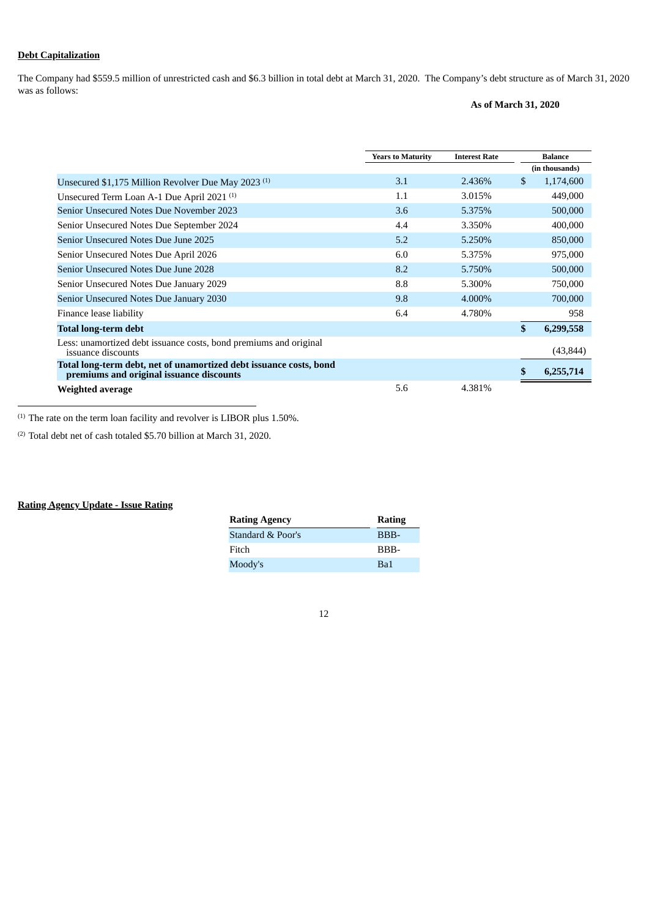# **Debt Capitalization**

The Company had \$559.5 million of unrestricted cash and \$6.3 billion in total debt at March 31, 2020. The Company's debt structure as of March 31, 2020 was as follows:

# **As of March 31, 2020**

|                                                                                                                | <b>Years to Maturity</b> | <b>Interest Rate</b> | <b>Balance</b>  |  |
|----------------------------------------------------------------------------------------------------------------|--------------------------|----------------------|-----------------|--|
|                                                                                                                |                          |                      | (in thousands)  |  |
| Unsecured \$1,175 Million Revolver Due May 2023 <sup>(1)</sup>                                                 | 3.1                      | 2.436%               | \$<br>1,174,600 |  |
| Unsecured Term Loan A-1 Due April 2021 <sup>(1)</sup>                                                          | 1.1                      | 3.015%               | 449,000         |  |
| Senior Unsecured Notes Due November 2023                                                                       | 3.6                      | 5.375%               | 500,000         |  |
| Senior Unsecured Notes Due September 2024                                                                      | 4.4                      | 3.350%               | 400,000         |  |
| Senior Unsecured Notes Due June 2025                                                                           | 5.2                      | 5.250%               | 850,000         |  |
| Senior Unsecured Notes Due April 2026                                                                          | 6.0                      | 5.375%               | 975,000         |  |
| Senior Unsecured Notes Due June 2028                                                                           | 8.2                      | 5.750%               | 500,000         |  |
| Senior Unsecured Notes Due January 2029                                                                        | 8.8                      | 5.300%               | 750,000         |  |
| Senior Unsecured Notes Due January 2030                                                                        | 9.8                      | 4.000%               | 700,000         |  |
| Finance lease liability                                                                                        | 6.4                      | 4.780%               | 958             |  |
| <b>Total long-term debt</b>                                                                                    |                          |                      | \$<br>6,299,558 |  |
| Less: unamortized debt issuance costs, bond premiums and original<br>issuance discounts                        |                          |                      | (43, 844)       |  |
| Total long-term debt, net of unamortized debt issuance costs, bond<br>premiums and original issuance discounts |                          |                      | 6,255,714       |  |
| Weighted average                                                                                               | 5.6                      | 4.381%               |                 |  |

 $(1)$  The rate on the term loan facility and revolver is LIBOR plus 1.50%.

(2) Total debt net of cash totaled \$5.70 billion at March 31, 2020.

# **Rating Agency Update - Issue Rating**

| <b>Rating Agency</b> | Rating |
|----------------------|--------|
| Standard & Poor's    | BBB-   |
| Fitch                | BBB-   |
| Moody's              | Ba1    |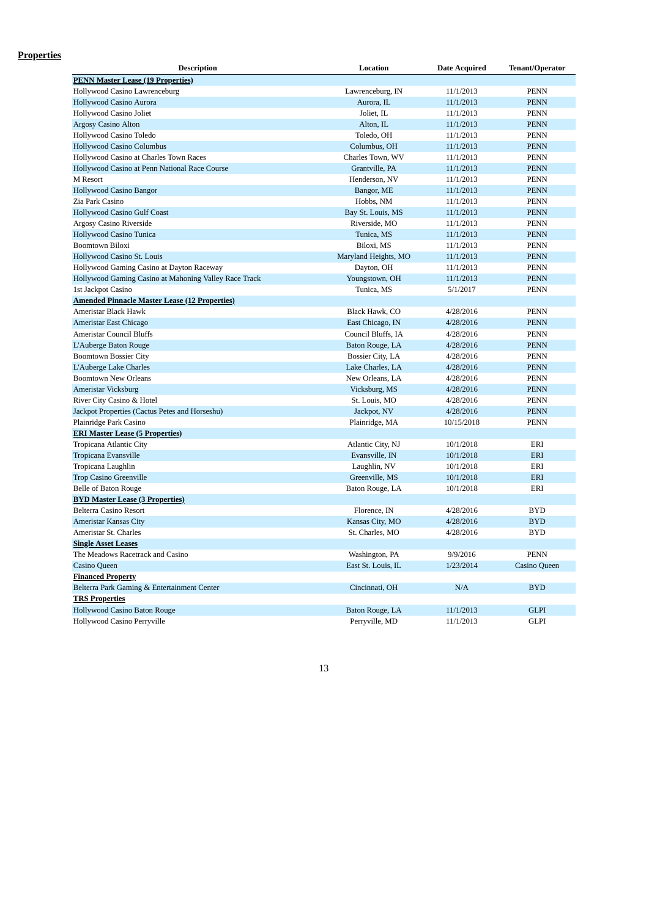# **Properties**

| <b>Description</b>                                    | Location                | <b>Date Acquired</b> | Tenant/Operator     |
|-------------------------------------------------------|-------------------------|----------------------|---------------------|
| <b>PENN Master Lease (19 Properties)</b>              |                         |                      |                     |
| Hollywood Casino Lawrenceburg                         | Lawrenceburg, IN        | 11/1/2013            | <b>PENN</b>         |
| <b>Hollywood Casino Aurora</b>                        | Aurora, IL              | 11/1/2013            | <b>PENN</b>         |
| Hollywood Casino Joliet                               | Joliet, IL              | 11/1/2013            | <b>PENN</b>         |
| <b>Argosy Casino Alton</b>                            | Alton, IL               | 11/1/2013            | <b>PENN</b>         |
| Hollywood Casino Toledo                               | Toledo, OH              | 11/1/2013            | <b>PENN</b>         |
| <b>Hollywood Casino Columbus</b>                      | Columbus, OH            | 11/1/2013            | <b>PENN</b>         |
| Hollywood Casino at Charles Town Races                | Charles Town, WV        | 11/1/2013            | <b>PENN</b>         |
| Hollywood Casino at Penn National Race Course         | Grantville, PA          | 11/1/2013            | <b>PENN</b>         |
| M Resort                                              | Henderson, NV           | 11/1/2013            | <b>PENN</b>         |
| <b>Hollywood Casino Bangor</b>                        | Bangor, ME              | 11/1/2013            | <b>PENN</b>         |
| Zia Park Casino                                       | Hobbs, NM               | 11/1/2013            | <b>PENN</b>         |
| <b>Hollywood Casino Gulf Coast</b>                    | Bay St. Louis, MS       | 11/1/2013            | <b>PENN</b>         |
| Argosy Casino Riverside                               | Riverside, MO           | 11/1/2013            | <b>PENN</b>         |
| Hollywood Casino Tunica                               | Tunica, MS              | 11/1/2013            | <b>PENN</b>         |
| <b>Boomtown Biloxi</b>                                | Biloxi, MS              | 11/1/2013            | <b>PENN</b>         |
| Hollywood Casino St. Louis                            | Maryland Heights, MO    | 11/1/2013            | <b>PENN</b>         |
| Hollywood Gaming Casino at Dayton Raceway             | Dayton, OH              | 11/1/2013            | <b>PENN</b>         |
| Hollywood Gaming Casino at Mahoning Valley Race Track | Youngstown, OH          | 11/1/2013            | <b>PENN</b>         |
| 1st Jackpot Casino                                    | Tunica, MS              | 5/1/2017             | <b>PENN</b>         |
| <b>Amended Pinnacle Master Lease (12 Properties)</b>  |                         |                      |                     |
| Ameristar Black Hawk                                  | Black Hawk, CO          | 4/28/2016            | <b>PENN</b>         |
| Ameristar East Chicago                                | East Chicago, IN        | 4/28/2016            | <b>PENN</b>         |
| <b>Ameristar Council Bluffs</b>                       | Council Bluffs, IA      | 4/28/2016            | <b>PENN</b>         |
| L'Auberge Baton Rouge                                 | Baton Rouge, LA         | 4/28/2016            | <b>PENN</b>         |
| <b>Boomtown Bossier City</b>                          | <b>Bossier City, LA</b> | 4/28/2016            | <b>PENN</b>         |
| L'Auberge Lake Charles                                | Lake Charles, LA        | 4/28/2016            | <b>PENN</b>         |
| <b>Boomtown New Orleans</b>                           | New Orleans, LA         | 4/28/2016            | <b>PENN</b>         |
| Ameristar Vicksburg                                   | Vicksburg, MS           | 4/28/2016            | <b>PENN</b>         |
| River City Casino & Hotel                             | St. Louis, MO           | 4/28/2016            | <b>PENN</b>         |
| Jackpot Properties (Cactus Petes and Horseshu)        | Jackpot, NV             | 4/28/2016            | <b>PENN</b>         |
| Plainridge Park Casino                                | Plainridge, MA          | 10/15/2018           | <b>PENN</b>         |
| <b>ERI Master Lease (5 Properties)</b>                |                         |                      |                     |
| Tropicana Atlantic City                               | Atlantic City, NJ       | 10/1/2018            | ERI                 |
| Tropicana Evansville                                  | Evansville, IN          | 10/1/2018            | ERI                 |
| Tropicana Laughlin                                    | Laughlin, NV            | 10/1/2018            | ERI                 |
| <b>Trop Casino Greenville</b>                         | Greenville, MS          | 10/1/2018            | ERI                 |
| Belle of Baton Rouge                                  | Baton Rouge, LA         | 10/1/2018            | ERI                 |
| <b>BYD Master Lease (3 Properties)</b>                |                         |                      |                     |
| <b>Belterra Casino Resort</b>                         | Florence, IN            | 4/28/2016            | <b>BYD</b>          |
| <b>Ameristar Kansas City</b>                          | Kansas City, MO         | 4/28/2016            | <b>BYD</b>          |
| Ameristar St. Charles                                 | St. Charles, MO         | 4/28/2016            | <b>BYD</b>          |
| <b>Single Asset Leases</b>                            |                         |                      |                     |
| The Meadows Racetrack and Casino                      | Washington, PA          | 9/9/2016             | <b>PENN</b>         |
| <b>Casino Queen</b>                                   | East St. Louis, IL      | 1/23/2014            | <b>Casino Queen</b> |
| <b>Financed Property</b>                              |                         |                      |                     |
| Belterra Park Gaming & Entertainment Center           | Cincinnati, OH          | N/A                  | <b>BYD</b>          |
| <b>TRS Properties</b>                                 |                         |                      |                     |
| Hollywood Casino Baton Rouge                          | Baton Rouge, LA         | 11/1/2013            | <b>GLPI</b>         |
| Hollywood Casino Perryville                           | Perryville, MD          | 11/1/2013            | <b>GLPI</b>         |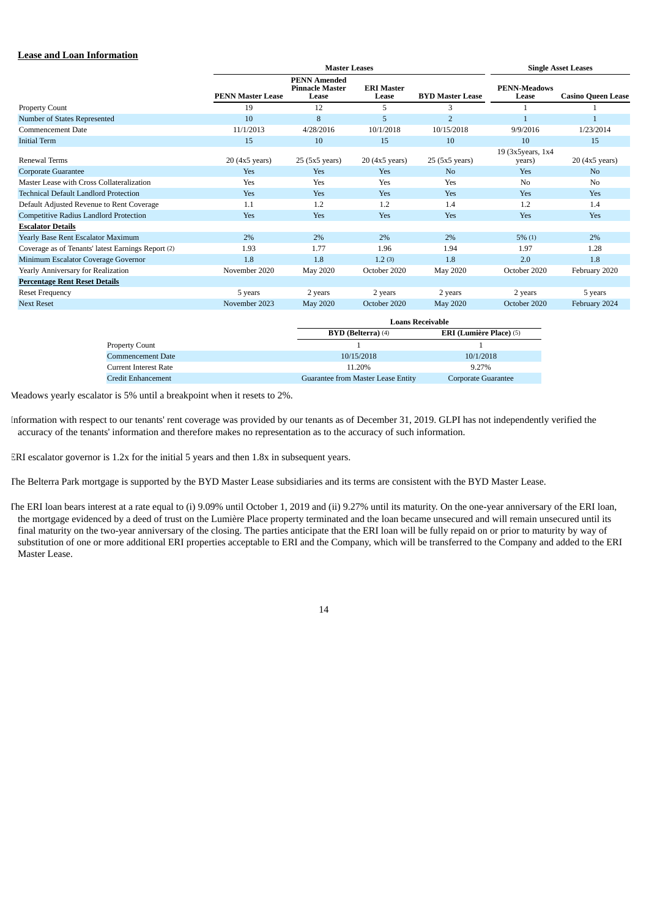# **Lease and Loan Information**

|                                                    |                          | <b>Master Leases</b>                                   |                                    |                         | <b>Single Asset Leases</b>     |                           |
|----------------------------------------------------|--------------------------|--------------------------------------------------------|------------------------------------|-------------------------|--------------------------------|---------------------------|
|                                                    | <b>PENN Master Lease</b> | <b>PENN Amended</b><br><b>Pinnacle Master</b><br>Lease | <b>ERI Master</b><br>Lease         | <b>BYD Master Lease</b> | <b>PENN-Meadows</b><br>Lease   | <b>Casino Queen Lease</b> |
| <b>Property Count</b>                              | 19                       | 12                                                     | 5                                  | 3                       |                                |                           |
| Number of States Represented                       | 10                       | 8                                                      | 5                                  | $\overline{2}$          | $\overline{1}$                 | $\overline{1}$            |
| Commencement Date                                  | 11/1/2013                | 4/28/2016                                              | 10/1/2018                          | 10/15/2018              | 9/9/2016                       | 1/23/2014                 |
| <b>Initial Term</b>                                | 15                       | 10                                                     | 15                                 | 10                      | 10                             | 15                        |
| Renewal Terms                                      | 20 (4x5 years)           | 25 (5x5 years)                                         | $20(4x5 \text{ years})$            | 25 (5x5 years)          | 19 (3x5years, 1x4<br>years)    | $20(4x5 \text{ years})$   |
| <b>Corporate Guarantee</b>                         | Yes                      | Yes                                                    | Yes                                | N <sub>o</sub>          | Yes                            | N <sub>o</sub>            |
| Master Lease with Cross Collateralization          | Yes                      | Yes                                                    | Yes                                | Yes                     | N <sub>o</sub>                 | N <sub>0</sub>            |
| <b>Technical Default Landlord Protection</b>       | Yes                      | Yes                                                    | Yes                                | Yes                     | Yes                            | Yes                       |
| Default Adjusted Revenue to Rent Coverage          | 1.1                      | 1.2                                                    | 1.2                                | 1.4                     | 1.2                            | 1.4                       |
| <b>Competitive Radius Landlord Protection</b>      | Yes                      | Yes                                                    | Yes                                | Yes                     | Yes                            | Yes                       |
| <b>Escalator Details</b>                           |                          |                                                        |                                    |                         |                                |                           |
| Yearly Base Rent Escalator Maximum                 | 2%                       | 2%                                                     | 2%                                 | 2%                      | $5\%$ (1)                      | 2%                        |
| Coverage as of Tenants' latest Earnings Report (2) | 1.93                     | 1.77                                                   | 1.96                               | 1.94                    | 1.97                           | 1.28                      |
| Minimum Escalator Coverage Governor                | 1.8                      | 1.8                                                    | 1.2(3)                             | 1.8                     | 2.0                            | 1.8                       |
| Yearly Anniversary for Realization                 | November 2020            | May 2020                                               | October 2020                       | May 2020                | October 2020                   | February 2020             |
| <b>Percentage Rent Reset Details</b>               |                          |                                                        |                                    |                         |                                |                           |
| <b>Reset Frequency</b>                             | 5 years                  | 2 years                                                | 2 years                            | 2 years                 | 2 years                        | 5 years                   |
| <b>Next Reset</b>                                  | November 2023            | May 2020                                               | October 2020                       | <b>May 2020</b>         | October 2020                   | February 2024             |
|                                                    |                          | <b>Loans Receivable</b>                                |                                    |                         |                                |                           |
|                                                    |                          |                                                        | <b>BYD</b> (Belterra) (4)          |                         | <b>ERI</b> (Lumière Place) (5) |                           |
| <b>Property Count</b>                              |                          |                                                        | $\mathbf{1}$                       | $\mathbf{1}$            |                                |                           |
| <b>Commencement Date</b>                           |                          |                                                        | 10/15/2018                         | 10/1/2018               |                                |                           |
| <b>Current Interest Rate</b>                       |                          |                                                        | 11.20%                             | 9.27%                   |                                |                           |
| <b>Credit Enhancement</b>                          |                          |                                                        | Guarantee from Master Lease Entity | Corporate Guarantee     |                                |                           |

Meadows yearly escalator is 5% until a breakpoint when it resets to 2%.

Information with respect to our tenants' rent coverage was provided by our tenants as of December 31, 2019. GLPI has not independently verified the accuracy of the tenants' information and therefore makes no representation as to the accuracy of such information.

ERI escalator governor is 1.2x for the initial 5 years and then 1.8x in subsequent years.

The Belterra Park mortgage is supported by the BYD Master Lease subsidiaries and its terms are consistent with the BYD Master Lease.

The ERI loan bears interest at a rate equal to (i) 9.09% until October 1, 2019 and (ii) 9.27% until its maturity. On the one-year anniversary of the ERI loan, the mortgage evidenced by a deed of trust on the Lumière Place property terminated and the loan became unsecured and will remain unsecured until its final maturity on the two-year anniversary of the closing. The parties anticipate that the ERI loan will be fully repaid on or prior to maturity by way of substitution of one or more additional ERI properties acceptable to ERI and the Company, which will be transferred to the Company and added to the ERI Master Lease.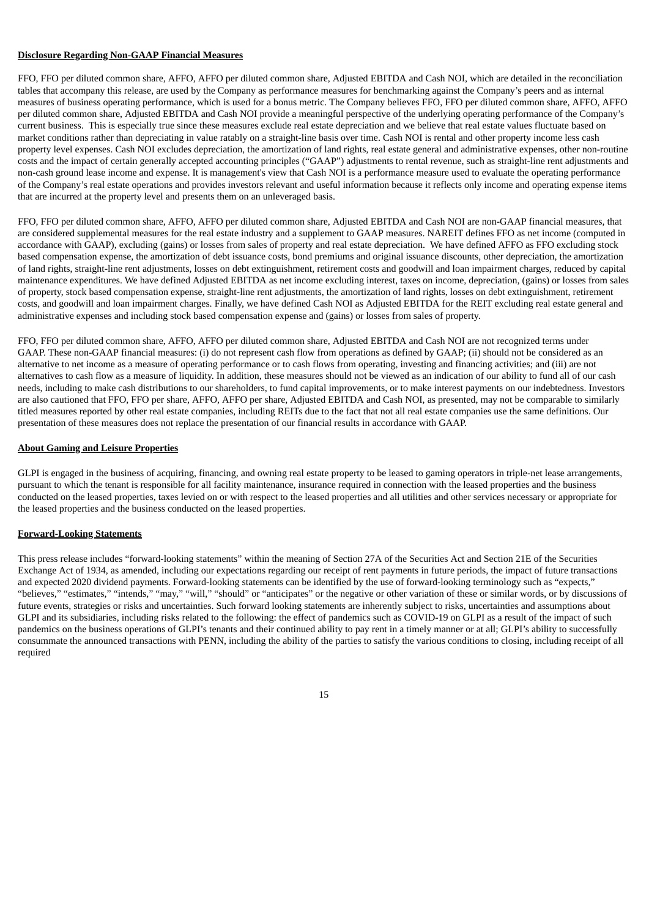### **Disclosure Regarding Non-GAAP Financial Measures**

FFO, FFO per diluted common share, AFFO, AFFO per diluted common share, Adjusted EBITDA and Cash NOI, which are detailed in the reconciliation tables that accompany this release, are used by the Company as performance measures for benchmarking against the Company's peers and as internal measures of business operating performance, which is used for a bonus metric. The Company believes FFO, FFO per diluted common share, AFFO, AFFO per diluted common share, Adjusted EBITDA and Cash NOI provide a meaningful perspective of the underlying operating performance of the Company's current business. This is especially true since these measures exclude real estate depreciation and we believe that real estate values fluctuate based on market conditions rather than depreciating in value ratably on a straight-line basis over time. Cash NOI is rental and other property income less cash property level expenses. Cash NOI excludes depreciation, the amortization of land rights, real estate general and administrative expenses, other non-routine costs and the impact of certain generally accepted accounting principles ("GAAP") adjustments to rental revenue, such as straight-line rent adjustments and non-cash ground lease income and expense. It is management's view that Cash NOI is a performance measure used to evaluate the operating performance of the Company's real estate operations and provides investors relevant and useful information because it reflects only income and operating expense items that are incurred at the property level and presents them on an unleveraged basis.

FFO, FFO per diluted common share, AFFO, AFFO per diluted common share, Adjusted EBITDA and Cash NOI are non-GAAP financial measures, that are considered supplemental measures for the real estate industry and a supplement to GAAP measures. NAREIT defines FFO as net income (computed in accordance with GAAP), excluding (gains) or losses from sales of property and real estate depreciation. We have defined AFFO as FFO excluding stock based compensation expense, the amortization of debt issuance costs, bond premiums and original issuance discounts, other depreciation, the amortization of land rights, straight-line rent adjustments, losses on debt extinguishment, retirement costs and goodwill and loan impairment charges, reduced by capital maintenance expenditures. We have defined Adjusted EBITDA as net income excluding interest, taxes on income, depreciation, (gains) or losses from sales of property, stock based compensation expense, straight-line rent adjustments, the amortization of land rights, losses on debt extinguishment, retirement costs, and goodwill and loan impairment charges. Finally, we have defined Cash NOI as Adjusted EBITDA for the REIT excluding real estate general and administrative expenses and including stock based compensation expense and (gains) or losses from sales of property.

FFO, FFO per diluted common share, AFFO, AFFO per diluted common share, Adjusted EBITDA and Cash NOI are not recognized terms under GAAP. These non-GAAP financial measures: (i) do not represent cash flow from operations as defined by GAAP; (ii) should not be considered as an alternative to net income as a measure of operating performance or to cash flows from operating, investing and financing activities; and (iii) are not alternatives to cash flow as a measure of liquidity. In addition, these measures should not be viewed as an indication of our ability to fund all of our cash needs, including to make cash distributions to our shareholders, to fund capital improvements, or to make interest payments on our indebtedness. Investors are also cautioned that FFO, FFO per share, AFFO, AFFO per share, Adjusted EBITDA and Cash NOI, as presented, may not be comparable to similarly titled measures reported by other real estate companies, including REITs due to the fact that not all real estate companies use the same definitions. Our presentation of these measures does not replace the presentation of our financial results in accordance with GAAP.

#### **About Gaming and Leisure Properties**

GLPI is engaged in the business of acquiring, financing, and owning real estate property to be leased to gaming operators in triple-net lease arrangements, pursuant to which the tenant is responsible for all facility maintenance, insurance required in connection with the leased properties and the business conducted on the leased properties, taxes levied on or with respect to the leased properties and all utilities and other services necessary or appropriate for the leased properties and the business conducted on the leased properties.

#### **Forward-Looking Statements**

This press release includes "forward-looking statements" within the meaning of Section 27A of the Securities Act and Section 21E of the Securities Exchange Act of 1934, as amended, including our expectations regarding our receipt of rent payments in future periods, the impact of future transactions and expected 2020 dividend payments. Forward-looking statements can be identified by the use of forward-looking terminology such as "expects," "believes," "estimates," "intends," "may," "will," "should" or "anticipates" or the negative or other variation of these or similar words, or by discussions of future events, strategies or risks and uncertainties. Such forward looking statements are inherently subject to risks, uncertainties and assumptions about GLPI and its subsidiaries, including risks related to the following: the effect of pandemics such as COVID-19 on GLPI as a result of the impact of such pandemics on the business operations of GLPI's tenants and their continued ability to pay rent in a timely manner or at all; GLPI's ability to successfully consummate the announced transactions with PENN, including the ability of the parties to satisfy the various conditions to closing, including receipt of all required